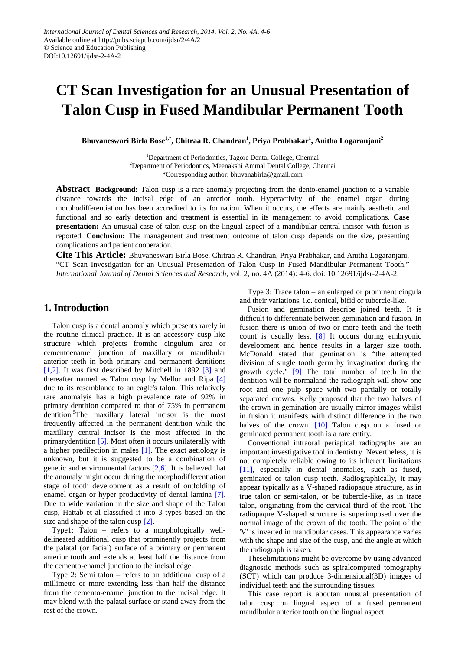# **CT Scan Investigation for an Unusual Presentation of Talon Cusp in Fused Mandibular Permanent Tooth**

**Bhuvaneswari Birla Bose1,\*, Chitraa R. Chandran1 , Priya Prabhakar<sup>1</sup> , Anitha Logaranjani<sup>2</sup>**

<sup>1</sup>Department of Periodontics, Tagore Dental College, Chennai <sup>2</sup>Department of Periodontics, Meenakshi Ammal Dental College, Chennai \*Corresponding author: bhuvanabirla@gmail.com

**Abstract Background:** Talon cusp is a rare anomaly projecting from the dento-enamel junction to a variable distance towards the incisal edge of an anterior tooth. Hyperactivity of the enamel organ during morphodifferentiation has been accredited to its formation. When it occurs, the effects are mainly aesthetic and functional and so early detection and treatment is essential in its management to avoid complications. **Case presentation:** An unusual case of talon cusp on the lingual aspect of a mandibular central incisor with fusion is reported. **Conclusion:** The management and treatment outcome of talon cusp depends on the size, presenting complications and patient cooperation.

**Cite This Article:** Bhuvaneswari Birla Bose, Chitraa R. Chandran, Priya Prabhakar, and Anitha Logaranjani, "CT Scan Investigation for an Unusual Presentation of Talon Cusp in Fused Mandibular Permanent Tooth." *International Journal of Dental Sciences and Research*, vol. 2, no. 4A (2014): 4-6. doi: 10.12691/ijdsr-2-4A-2.

## **1. Introduction**

Talon cusp is a dental anomaly which presents rarely in the routine clinical practice. It is an accessory cusp-like structure which projects fromthe cingulum area or cementoenamel junction of maxillary or mandibular anterior teeth in both primary and permanent dentitions [\[1,2\].](#page-2-0) It was first described by Mitchell in 1892 [\[3\]](#page-2-1) and thereafter named as Talon cusp by Mellor and Ripa [\[4\]](#page-2-2) due to its resemblance to an eagle's talon. This relatively rare anomalyis has a high prevalence rate of 92% in primary dentition compared to that of 75% in permanent dentition.<sup>5</sup>The maxillary lateral incisor is the most frequently affected in the permanent dentition while the maxillary central incisor is the most affected in the primarydentition [\[5\].](#page-2-3) Most often it occurs unilaterally with a higher predilection in males [\[1\].](#page-2-0) The exact aetiology is unknown, but it is suggested to be a combination of genetic and environmental factors  $[2,6]$ . It is believed that the anomaly might occur during the morphodifferentiation stage of tooth development as a result of outfolding of enamel organ or hyper productivity of dental lamina [\[7\].](#page-2-5) Due to wide variation in the size and shape of the Talon cusp, Hattab et al classified it into 3 types based on the size and shape of the talon cusp [\[2\].](#page-2-4)

Type1: Talon – refers to a morphologically welldelineated additional cusp that prominently projects from the palatal (or facial) surface of a primary or permanent anterior tooth and extends at least half the distance from the cemento-enamel junction to the incisal edge.

Type 2: Semi talon – refers to an additional cusp of a millimetre or more extending less than half the distance from the cemento-enamel junction to the incisal edge. It may blend with the palatal surface or stand away from the rest of the crown.

Type 3: Trace talon – an enlarged or prominent cingula and their variations, i.e. conical, bifid or tubercle-like.

Fusion and gemination describe joined teeth. It is difficult to differentiate between gemination and fusion. In fusion there is union of two or more teeth and the teeth count is usually less. [\[8\]](#page-2-6) It occurs during embryonic development and hence results in a larger size tooth. McDonald stated that gemination is "the attempted division of single tooth germ by invagination during the growth cycle." [\[9\]](#page-2-7) The total number of teeth in the dentition will be normaland the radiograph will show one root and one pulp space with two partially or totally separated crowns. Kelly proposed that the two halves of the crown in gemination are usually mirror images whilst in fusion it manifests with distinct difference in the two halves of the crown. [\[10\]](#page-2-8) Talon cusp on a fused or geminated permanent tooth is a rare entity.

Conventional intraoral periapical radiographs are an important investigative tool in dentistry. Nevertheless, it is not completely reliable owing to its inherent limitations [\[11\],](#page-2-9) especially in dental anomalies, such as fused, geminated or talon cusp teeth. Radiographically, it may appear typically as a V-shaped radiopaque structure, as in true talon or semi-talon, or be tubercle-like, as in trace talon, originating from the cervical third of the root. The radiopaque V-shaped structure is superimposed over the normal image of the crown of the tooth. The point of the 'V' is inverted in mandibular cases. This appearance varies with the shape and size of the cusp, and the angle at which the radiograph is taken.

Theselimitations might be overcome by using advanced diagnostic methods such as spiralcomputed tomography (SCT) which can produce 3-dimensional(3D) images of individual teeth and the surrounding tissues.

This case report is aboutan unusual presentation of talon cusp on lingual aspect of a fused permanent mandibular anterior tooth on the lingual aspect.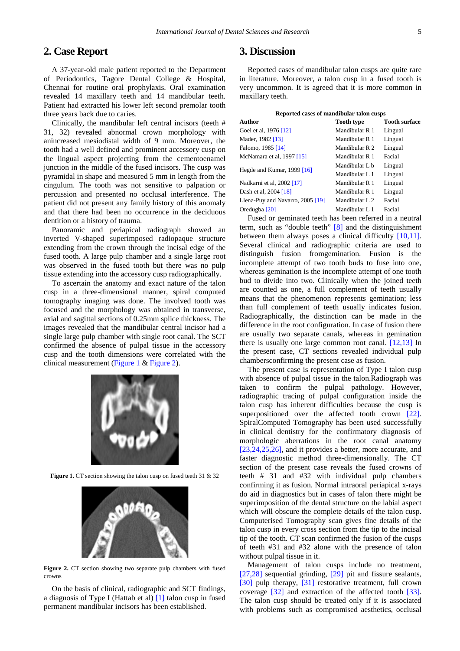# **2. Case Report**

A 37-year-old male patient reported to the Department of Periodontics, Tagore Dental College & Hospital, Chennai for routine oral prophylaxis. Oral examination revealed 14 maxillary teeth and 14 mandibular teeth. Patient had extracted his lower left second premolar tooth three years back due to caries.

Clinically, the mandibular left central incisors (teeth # 31, 32) revealed abnormal crown morphology with anincreased mesiodistal width of 9 mm. Moreover, the tooth had a well defined and prominent accessory cusp on the lingual aspect projecting from the cementoenamel junction in the middle of the fused incisors. The cusp was pyramidal in shape and measured 5 mm in length from the cingulum. The tooth was not sensitive to palpation or percussion and presented no occlusal interference. The patient did not present any family history of this anomaly and that there had been no occurrence in the deciduous dentition or a history of trauma.

Panoramic and periapical radiograph showed an inverted V-shaped superimposed radiopaque structure extending from the crown through the incisal edge of the fused tooth. A large pulp chamber and a single large root was observed in the fused tooth but there was no pulp tissue extending into the accessory cusp radiographically.

To ascertain the anatomy and exact nature of the talon cusp in a three-dimensional manner, spiral computed tomography imaging was done. The involved tooth was focused and the morphology was obtained in transverse, axial and sagittal sections of 0.25mm splice thickness. The images revealed that the mandibular central incisor had a single large pulp chamber with single root canal. The SCT confirmed the absence of pulpal tissue in the accessory cusp and the tooth dimensions were correlated with the clinical measurement [\(Figure 1](#page-1-0) & [Figure 2\)](#page-1-1).

<span id="page-1-0"></span>

**Figure 1.** CT section showing the talon cusp on fused teeth 31 & 32

<span id="page-1-1"></span>

Figure 2. CT section showing two separate pulp chambers with fused crowns

On the basis of clinical, radiographic and SCT findings, a diagnosis of Type I (Hattab et al) [\[1\]](#page-2-0) talon cusp in fused permanent mandibular incisors has been established.

#### **3. Discussion**

Reported cases of mandibular talon cusps are quite rare in literature. Moreover, a talon cusp in a fused tooth is very uncommon. It is agreed that it is more common in maxillary teeth.

| Reported cases of mandibular talon cusps |                           |                      |
|------------------------------------------|---------------------------|----------------------|
| Author                                   | <b>Tooth type</b>         | <b>Tooth surface</b> |
| Goel et al, 1976 [12]                    | Mandibular R 1            | Lingual              |
| Mader, 1982 [13]                         | Mandibular R 1            | Lingual              |
| Falomo, 1985 [14]                        | Mandibular R 2            | Lingual              |
| McNamara et al, 1997 [15]                | Mandibular R 1            | Facial               |
| Hegde and Kumar, 1999 [16]               | Mandibular L b            | Lingual              |
|                                          | Mandibular L 1            | Lingual              |
| Nadkarni et al, 2002 [17]                | Mandibular R 1            | Lingual              |
| Dash et al, 2004 [18]                    | Mandibular R 1            | Lingual              |
| Llena-Puy and Navarro, 2005 [19]         | Mandibular L <sub>2</sub> | Facial               |
| Oredugba [20]                            | Mandibular L 1            | Facial               |
|                                          |                           |                      |

Fused or geminated teeth has been referred in a neutral term, such as "double teeth" [\[8\]](#page-2-6) and the distinguishment between them always poses a clinical difficulty [\[10,11\].](#page-2-8) Several clinical and radiographic criteria are used to distinguish fusion fromgemination. Fusion is the incomplete attempt of two tooth buds to fuse into one, whereas gemination is the incomplete attempt of one tooth bud to divide into two. Clinically when the joined teeth are counted as one, a full complement of teeth usually means that the phenomenon represents gemination; less than full complement of teeth usually indicates fusion. Radiographically, the distinction can be made in the difference in the root configuration. In case of fusion there are usually two separate canals, whereas in gemination there is usually one large common root canal. [\[12,13\]](#page-2-10) In the present case, CT sections revealed individual pulp chambersconfirming the present case as fusion.

The present case is representation of Type I talon cusp with absence of pulpal tissue in the talon.Radiograph was taken to confirm the pulpal pathology. However, radiographic tracing of pulpal configuration inside the talon cusp has inherent difficulties because the cusp is superpositioned over the affected tooth crown [\[22\].](#page-2-19) SpiralComputed Tomography has been used successfully in clinical dentistry for the confirmatory diagnosis of morphologic aberrations in the root canal anatomy [\[23,24,25,26\],](#page-2-20) and it provides a better, more accurate, and faster diagnostic method three-dimensionally. The CT section of the present case reveals the fused crowns of teeth # 31 and #32 with individual pulp chambers confirming it as fusion. Normal intraoral periapical x-rays do aid in diagnostics but in cases of talon there might be superimposition of the dental structure on the labial aspect which will obscure the complete details of the talon cusp. Computerised Tomography scan gives fine details of the talon cusp in every cross section from the tip to the incisal tip of the tooth. CT scan confirmed the fusion of the cusps of teeth #31 and #32 alone with the presence of talon without pulpal tissue in it.

Management of talon cusps include no treatment, [\[27,28\]](#page-2-21) sequential grinding, [\[29\]](#page-2-22) pit and fissure sealants, [\[30\]](#page-2-23) pulp therapy, [\[31\]](#page-2-24) restorative treatment, full crown coverage [\[32\]](#page-2-25) and extraction of the affected tooth [\[33\].](#page-2-26) The talon cusp should be treated only if it is associated with problems such as compromised aesthetics, occlusal